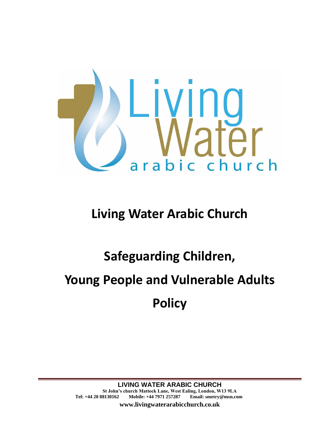

## **Living Water Arabic Church**

# **Safeguarding Children, Young People and Vulnerable Adults Policy**

**www.livingwaterarabicchurch.co.uk**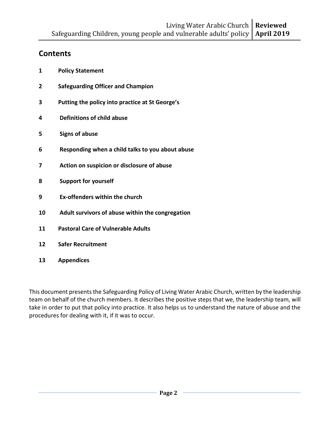## **Contents**

- **1 Policy Statement**
- **2 Safeguarding Officer and Champion**
- **3 Putting the policy into practice at St George's**
- **4 Definitions of child abuse**
- **5 Signs of abuse**
- **6 Responding when a child talks to you about abuse**
- **7 Action on suspicion or disclosure of abuse**
- **8 Support for yourself**
- **9 Ex-offenders within the church**
- **10 Adult survivors of abuse within the congregation**
- **11 Pastoral Care of Vulnerable Adults**
- **12 Safer Recruitment**
- **13 Appendices**

This document presents the Safeguarding Policy of Living Water Arabic Church, written by the leadership team on behalf of the church members. It describes the positive steps that we, the leadership team, will take in order to put that policy into practice. It also helps us to understand the nature of abuse and the procedures for dealing with it, if it was to occur.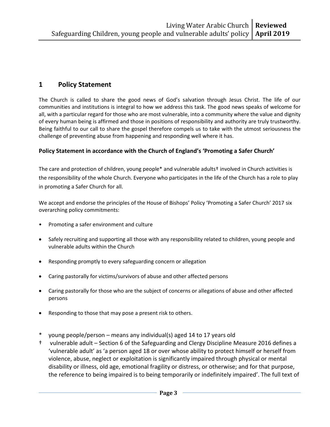## **1 Policy Statement**

The Church is called to share the good news of God's salvation through Jesus Christ. The life of our communities and institutions is integral to how we address this task. The good news speaks of welcome for all, with a particular regard for those who are most vulnerable, into a community where the value and dignity of every human being is affirmed and those in positions of responsibility and authority are truly trustworthy. Being faithful to our call to share the gospel therefore compels us to take with the utmost seriousness the challenge of preventing abuse from happening and responding well where it has.

#### **Policy Statement in accordance with the Church of England's 'Promoting a Safer Church'**

The care and protection of children, young people\* and vulnerable adults† involved in Church activities is the responsibility of the whole Church. Everyone who participates in the life of the Church has a role to play in promoting a Safer Church for all.

We accept and endorse the principles of the House of Bishops' Policy 'Promoting a Safer Church' 2017 six overarching policy commitments:

- Promoting a safer environment and culture
- Safely recruiting and supporting all those with any responsibility related to children, young people and vulnerable adults within the Church
- Responding promptly to every safeguarding concern or allegation
- Caring pastorally for victims/survivors of abuse and other affected persons
- Caring pastorally for those who are the subject of concerns or allegations of abuse and other affected persons
- Responding to those that may pose a present risk to others.
- young people/person means any individual(s) aged 14 to 17 years old
- † vulnerable adult Section 6 of the Safeguarding and Clergy Discipline Measure 2016 defines a 'vulnerable adult' as 'a person aged 18 or over whose ability to protect himself or herself from violence, abuse, neglect or exploitation is significantly impaired through physical or mental disability or illness, old age, emotional fragility or distress, or otherwise; and for that purpose, the reference to being impaired is to being temporarily or indefinitely impaired'. The full text of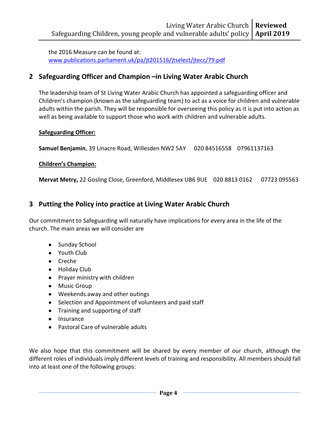the 2016 Measure can be found at: [www.publications.parliament.uk/pa/jt201516/jtselect/jtecc/79.pdf](http://www.publications.parliament.uk/pa/jt201516/jtselect/jtecc/79.pdf)

### **2 Safeguarding Officer and Champion –in Living Water Arabic Church**

The leadership team of St Living Water Arabic Church has appointed a safeguarding officer and Children's champion (known as the safeguarding team) to act as a voice for children and vulnerable adults within the parish. They will be responsible for overseeing this policy as it is put into action as well as being available to support those who work with children and vulnerable adults.

#### **Safeguarding Officer:**

**Samuel Benjamin**, 39 Linacre Road, Willesden NW2 5AY 020 84516558 07961137163

#### **Children's Champion:**

**Mervat Metry,** 22 Gosling Close, Greenford, Middlesex UB6 9UE 020 8813 0162 07723 095563

## **3 Putting the Policy into practice at Living Water Arabic Church**

Our commitment to Safeguarding will naturally have implications for every area in the life of the church. The main areas we will consider are

- Sunday School
- Youth Club
- Creche
- Holiday Club
- Prayer ministry with children
- Music Group
- Weekends away and other outings
- Selection and Appointment of volunteers and paid staff
- Training and supporting of staff
- Insurance
- Pastoral Care of vulnerable adults

We also hope that this commitment will be shared by every member of our church, although the different roles of individuals imply different levels of training and responsibility. All members should fall into at least one of the following groups: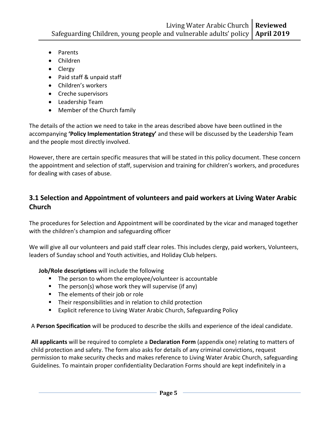- Parents
- Children
- Clergy
- Paid staff & unpaid staff
- Children's workers
- Creche supervisors
- Leadership Team
- Member of the Church family

The details of the action we need to take in the areas described above have been outlined in the accompanying **'Policy Implementation Strategy'** and these will be discussed by the Leadership Team and the people most directly involved.

However, there are certain specific measures that will be stated in this policy document. These concern the appointment and selection of staff, supervision and training for children's workers, and procedures for dealing with cases of abuse.

## **3.1 Selection and Appointment of volunteers and paid workers at Living Water Arabic Church**

The procedures for Selection and Appointment will be coordinated by the vicar and managed together with the children's champion and safeguarding officer

We will give all our volunteers and paid staff clear roles. This includes clergy, paid workers, Volunteers, leaders of Sunday school and Youth activities, and Holiday Club helpers.

#### **Job/Role descriptions** will include the following

- The person to whom the employee/volunteer is accountable
- The person(s) whose work they will supervise (if any)
- The elements of their job or role
- Their responsibilities and in relation to child protection
- Explicit reference to Living Water Arabic Church, Safeguarding Policy

A **Person Specification** will be produced to describe the skills and experience of the ideal candidate.

**All applicants** will be required to complete a **Declaration Form** (appendix one) relating to matters of child protection and safety. The form also asks for details of any criminal convictions, request permission to make security checks and makes reference to Living Water Arabic Church, safeguarding Guidelines. To maintain proper confidentiality Declaration Forms should are kept indefinitely in a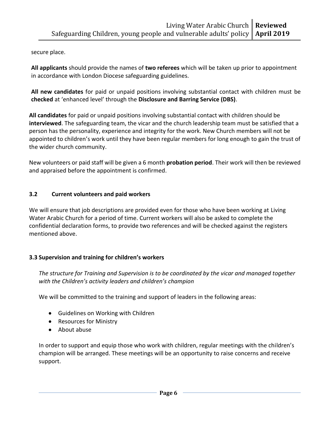secure place.

**All applicants** should provide the names of **two referees** which will be taken up prior to appointment in accordance with London Diocese safeguarding guidelines.

**All new candidates** for paid or unpaid positions involving substantial contact with children must be **checked** at 'enhanced level' through the **Disclosure and Barring Service (DBS)**.

**All candidates** for paid or unpaid positions involving substantial contact with children should be **interviewed**. The safeguarding team, the vicar and the church leadership team must be satisfied that a person has the personality, experience and integrity for the work. New Church members will not be appointed to children's work until they have been regular members for long enough to gain the trust of the wider church community.

New volunteers or paid staff will be given a 6 month **probation period**. Their work will then be reviewed and appraised before the appointment is confirmed.

#### **3.2 Current volunteers and paid workers**

We will ensure that job descriptions are provided even for those who have been working at Living Water Arabic Church for a period of time. Current workers will also be asked to complete the confidential declaration forms, to provide two references and will be checked against the registers mentioned above.

#### **3.3 Supervision and training for children's workers**

*The structure for Training and Supervision is to be coordinated by the vicar and managed together with the Children's activity leaders and children's champion*

We will be committed to the training and support of leaders in the following areas:

- Guidelines on Working with Children
- Resources for Ministry
- About abuse

In order to support and equip those who work with children, regular meetings with the children's champion will be arranged. These meetings will be an opportunity to raise concerns and receive support.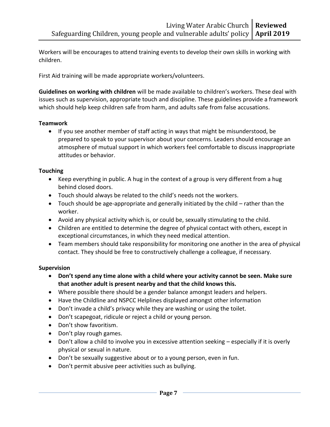Workers will be encourages to attend training events to develop their own skills in working with children.

First Aid training will be made appropriate workers/volunteers.

**Guidelines on working with children** will be made available to children's workers. These deal with issues such as supervision, appropriate touch and discipline. These guidelines provide a framework which should help keep children safe from harm, and adults safe from false accusations.

#### **Teamwork**

• If you see another member of staff acting in ways that might be misunderstood, be prepared to speak to your supervisor about your concerns. Leaders should encourage an atmosphere of mutual support in which workers feel comfortable to discuss inappropriate attitudes or behavior.

#### **Touching**

- Keep everything in public. A hug in the context of a group is very different from a hug behind closed doors.
- Touch should always be related to the child's needs not the workers.
- Touch should be age-appropriate and generally initiated by the child rather than the worker.
- Avoid any physical activity which is, or could be, sexually stimulating to the child.
- Children are entitled to determine the degree of physical contact with others, except in exceptional circumstances, in which they need medical attention.
- Team members should take responsibility for monitoring one another in the area of physical contact. They should be free to constructively challenge a colleague, if necessary.

#### **Supervision**

- **Don't spend any time alone with a child where your activity cannot be seen. Make sure that another adult is present nearby and that the child knows this.**
- Where possible there should be a gender balance amongst leaders and helpers.
- Have the Childline and NSPCC Helplines displayed amongst other information
- Don't invade a child's privacy while they are washing or using the toilet.
- Don't scapegoat, ridicule or reject a child or young person.
- Don't show favoritism.
- Don't play rough games.
- Don't allow a child to involve you in excessive attention seeking especially if it is overly physical or sexual in nature.
- Don't be sexually suggestive about or to a young person, even in fun.
- Don't permit abusive peer activities such as bullying.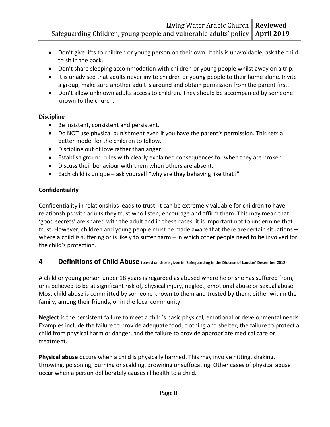- Don't give lifts to children or young person on their own. If this is unavoidable, ask the child to sit in the back.
- Don't share sleeping accommodation with children or young people whilst away on a trip.
- It is unadvised that adults never invite children or young people to their home alone. Invite a group, make sure another adult is around and obtain permission from the parent first.
- Don't allow unknown adults access to children. They should be accompanied by someone known to the church.

#### **Discipline**

- Be insistent, consistent and persistent.
- Do NOT use physical punishment even if you have the parent's permission. This sets a better model for the children to follow.
- Discipline out of love rather than anger.
- Establish ground rules with clearly explained consequences for when they are broken.
- Discuss their behaviour with them when others are absent.
- Each child is unique ask yourself "why are they behaving like that?"

#### **Confidentiality**

Confidentiality in relationships leads to trust. It can be extremely valuable for children to have relationships with adults they trust who listen, encourage and affirm them. This may mean that 'good secrets' are shared with the adult and in these cases, it is important not to undermine that trust. However, children and young people must be made aware that there are certain situations – where a child is suffering or is likely to suffer harm – in which other people need to be involved for the child's protection.

#### **4 Definitions of Child Abuse (based on those given in 'Safeguarding in the Diocese of London' December 2012)**

A child or young person under 18 years is regarded as abused where he or she has suffered from, or is believed to be at significant risk of, physical injury, neglect, emotional abuse or sexual abuse. Most child abuse is committed by someone known to them and trusted by them, either within the family, among their friends, or in the local community.

**Neglect** is the persistent failure to meet a child's basic physical, emotional or developmental needs. Examples include the failure to provide adequate food, clothing and shelter, the failure to protect a child from physical harm or danger, and the failure to provide appropriate medical care or treatment.

**Physical abuse** occurs when a child is physically harmed. This may involve hitting, shaking, throwing, poisoning, burning or scalding, drowning or suffocating. Other cases of physical abuse occur when a person deliberately causes ill health to a child.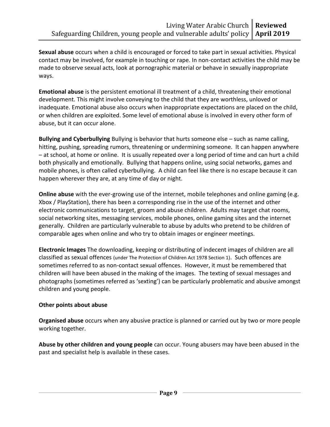**Sexual abuse** occurs when a child is encouraged or forced to take part in sexual activities. Physical contact may be involved, for example in touching or rape. In non-contact activities the child may be made to observe sexual acts, look at pornographic material or behave in sexually inappropriate ways.

**Emotional abuse** is the persistent emotional ill treatment of a child, threatening their emotional development. This might involve conveying to the child that they are worthless, unloved or inadequate. Emotional abuse also occurs when inappropriate expectations are placed on the child, or when children are exploited. Some level of emotional abuse is involved in every other form of abuse, but it can occur alone.

**Bullying and Cyberbullying** Bullying is behavior that hurts someone else – such as name calling, hitting, pushing, spreading rumors, threatening or undermining someone. It can happen anywhere – at school, at home or online. It is usually repeated over a long period of time and can hurt a child both physically and emotionally. Bullying that happens online, using social networks, games and mobile phones, is often called cyberbullying. A child can feel like there is no escape because it can happen wherever they are, at any time of day or night.

**Online abuse** with the ever-growing use of the internet, mobile telephones and online gaming (e.g. Xbox / PlayStation), there has been a corresponding rise in the use of the internet and other electronic communications to target, groom and abuse children. Adults may target chat rooms, social networking sites, messaging services, mobile phones, online gaming sites and the internet generally. Children are particularly vulnerable to abuse by adults who pretend to be children of comparable ages when online and who try to obtain images or engineer meetings.

**Electronic Images** The downloading, keeping or distributing of indecent images of children are all classified as sexual offences (under The Protection of Children Act 1978 Section 1). Such offences are sometimes referred to as non-contact sexual offences. However, it must be remembered that children will have been abused in the making of the images. The texting of sexual messages and photographs (sometimes referred as 'sexting') can be particularly problematic and abusive amongst children and young people.

#### **Other points about abuse**

**Organised abuse** occurs when any abusive practice is planned or carried out by two or more people working together.

**Abuse by other children and young people** can occur. Young abusers may have been abused in the past and specialist help is available in these cases.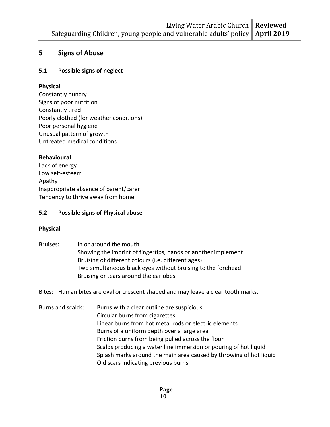## **5 Signs of Abuse**

#### **5.1 Possible signs of neglect**

#### **Physical**

Constantly hungry Signs of poor nutrition Constantly tired Poorly clothed (for weather conditions) Poor personal hygiene Unusual pattern of growth Untreated medical conditions

#### **Behavioural**

Lack of energy Low self-esteem Apathy Inappropriate absence of parent/carer Tendency to thrive away from home

#### **5.2 Possible signs of Physical abuse**

#### **Physical**

Bruises: In or around the mouth Showing the imprint of fingertips, hands or another implement Bruising of different colours (i.e. different ages) Two simultaneous black eyes without bruising to the forehead Bruising or tears around the earlobes

Bites: Human bites are oval or crescent shaped and may leave a clear tooth marks.

Burns and scalds: Burns with a clear outline are suspicious Circular burns from cigarettes Linear burns from hot metal rods or electric elements Burns of a uniform depth over a large area Friction burns from being pulled across the floor Scalds producing a water line immersion or pouring of hot liquid Splash marks around the main area caused by throwing of hot liquid Old scars indicating previous burns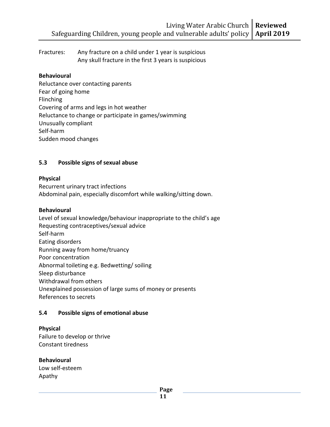Fractures: Any fracture on a child under 1 year is suspicious Any skull fracture in the first 3 years is suspicious

#### **Behavioural**

Reluctance over contacting parents Fear of going home Flinching Covering of arms and legs in hot weather Reluctance to change or participate in games/swimming Unusually compliant Self-harm Sudden mood changes

#### **5.3 Possible signs of sexual abuse**

#### **Physical**

Recurrent urinary tract infections Abdominal pain, especially discomfort while walking/sitting down.

#### **Behavioural**

Level of sexual knowledge/behaviour inappropriate to the child's age Requesting contraceptives/sexual advice Self-harm Eating disorders Running away from home/truancy Poor concentration Abnormal toileting e.g. Bedwetting/ soiling Sleep disturbance Withdrawal from others Unexplained possession of large sums of money or presents References to secrets

#### **5.4 Possible signs of emotional abuse**

#### **Physical**

Failure to develop or thrive Constant tiredness

#### **Behavioural**

Low self-esteem Apathy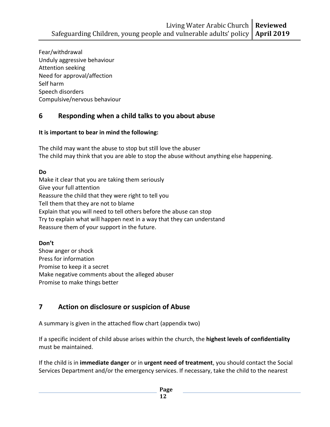Fear/withdrawal Unduly aggressive behaviour Attention seeking Need for approval/affection Self harm Speech disorders Compulsive/nervous behaviour

## **6 Responding when a child talks to you about abuse**

#### **It is important to bear in mind the following:**

The child may want the abuse to stop but still love the abuser The child may think that you are able to stop the abuse without anything else happening.

#### **Do**

Make it clear that you are taking them seriously Give your full attention Reassure the child that they were right to tell you Tell them that they are not to blame Explain that you will need to tell others before the abuse can stop Try to explain what will happen next in a way that they can understand Reassure them of your support in the future.

#### **Don't**

Show anger or shock Press for information Promise to keep it a secret Make negative comments about the alleged abuser Promise to make things better

## **7 Action on disclosure or suspicion of Abuse**

A summary is given in the attached flow chart (appendix two)

If a specific incident of child abuse arises within the church, the **highest levels of confidentiality** must be maintained.

If the child is in **immediate danger** or in **urgent need of treatment**, you should contact the Social Services Department and/or the emergency services. If necessary, take the child to the nearest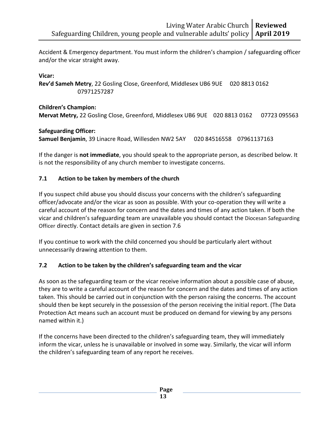Accident & Emergency department. You must inform the children's champion / safeguarding officer and/or the vicar straight away.

#### **Vicar:**

**Rev'd Sameh Metry**, 22 Gosling Close, Greenford, Middlesex UB6 9UE 020 8813 0162 07971257287

**Children's Champion: Mervat Metry,** 22 Gosling Close, Greenford, Middlesex UB6 9UE 020 8813 0162 07723 095563

#### **Safeguarding Officer:**

**Samuel Benjamin**, 39 Linacre Road, Willesden NW2 5AY 020 84516558 07961137163

If the danger is **not immediate**, you should speak to the appropriate person, as described below. It is not the responsibility of any church member to investigate concerns.

#### **7.1 Action to be taken by members of the church**

If you suspect child abuse you should discuss your concerns with the children's safeguarding officer/advocate and/or the vicar as soon as possible. With your co-operation they will write a careful account of the reason for concern and the dates and times of any action taken. If both the vicar and children's safeguarding team are unavailable you should contact the Diocesan Safeguarding Officer directly. Contact details are given in section 7.6

If you continue to work with the child concerned you should be particularly alert without unnecessarily drawing attention to them.

#### **7.2 Action to be taken by the children's safeguarding team and the vicar**

As soon as the safeguarding team or the vicar receive information about a possible case of abuse, they are to write a careful account of the reason for concern and the dates and times of any action taken. This should be carried out in conjunction with the person raising the concerns. The account should then be kept securely in the possession of the person receiving the initial report. (The Data Protection Act means such an account must be produced on demand for viewing by any persons named within it.)

If the concerns have been directed to the children's safeguarding team, they will immediately inform the vicar, unless he is unavailable or involved in some way. Similarly, the vicar will inform the children's safeguarding team of any report he receives.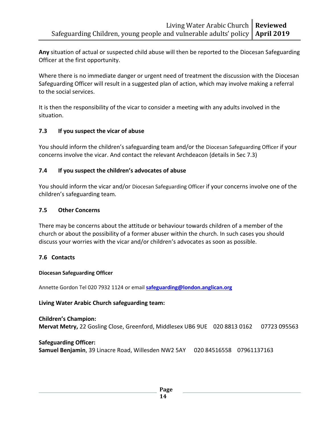**Any** situation of actual or suspected child abuse will then be reported to the Diocesan Safeguarding Officer at the first opportunity.

Where there is no immediate danger or urgent need of treatment the discussion with the Diocesan Safeguarding Officer will result in a suggested plan of action, which may involve making a referral to the social services.

It is then the responsibility of the vicar to consider a meeting with any adults involved in the situation.

#### **7.3 If you suspect the vicar of abuse**

You should inform the children's safeguarding team and/or the Diocesan Safeguarding Officer if your concerns involve the vicar. And contact the relevant Archdeacon (details in Sec 7.3)

#### **7.4 If you suspect the children's advocates of abuse**

You should inform the vicar and/or Diocesan Safeguarding Officer if your concerns involve one of the children's safeguarding team.

#### **7.5 Other Concerns**

There may be concerns about the attitude or behaviour towards children of a member of the church or about the possibility of a former abuser within the church. In such cases you should discuss your worries with the vicar and/or children's advocates as soon as possible.

#### **7.6 Contacts**

#### **Diocesan Safeguarding Officer**

Annette Gordon Tel 020 7932 1124 or email **[safeguarding@london.anglican.org](mailto:safeguarding@london.anglican.org)**

#### **Living Water Arabic Church safeguarding team:**

#### **Children's Champion: Mervat Metry,** 22 Gosling Close, Greenford, Middlesex UB6 9UE 020 8813 0162 07723 095563

#### **Safeguarding Officer:**

**Samuel Benjamin**, 39 Linacre Road, Willesden NW2 5AY 020 84516558 07961137163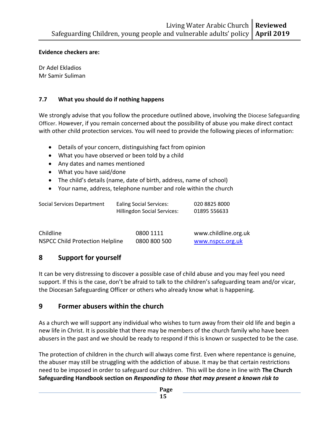#### **Evidence checkers are:**

Dr Adel Ekladios Mr Samir Suliman

#### **7.7 What you should do if nothing happens**

We strongly advise that you follow the procedure outlined above, involving the Diocese Safeguarding Officer. However, if you remain concerned about the possibility of abuse you make direct contact with other child protection services. You will need to provide the following pieces of information:

- Details of your concern, distinguishing fact from opinion
- What you have observed or been told by a child
- Any dates and names mentioned
- What you have said/done
- The child's details (name, date of birth, address, name of school)
- Your name, address, telephone number and role within the church

| Social Services Department | <b>Ealing Social Services:</b><br><b>Hillingdon Social Services:</b> | 020 8825 8000<br>01895 556633 |
|----------------------------|----------------------------------------------------------------------|-------------------------------|
| Childline                  | 0800 1111                                                            | www.childline.org.uk          |

NSPCC Child Protection Helpline 0800 800 500 [www.nspcc.org.uk](http://www.nspcc.org.uk/)

## **8 Support for yourself**

It can be very distressing to discover a possible case of child abuse and you may feel you need support. If this is the case, don't be afraid to talk to the children's safeguarding team and/or vicar, the Diocesan Safeguarding Officer or others who already know what is happening.

#### **9 Former abusers within the church**

As a church we will support any individual who wishes to turn away from their old life and begin a new life in Christ. It is possible that there may be members of the church family who have been abusers in the past and we should be ready to respond if this is known or suspected to be the case.

The protection of children in the church will always come first. Even where repentance is genuine, the abuser may still be struggling with the addiction of abuse. It may be that certain restrictions need to be imposed in order to safeguard our children. This will be done in line with **The Church Safeguarding Handbook section on** *Responding to those that may present a known risk to*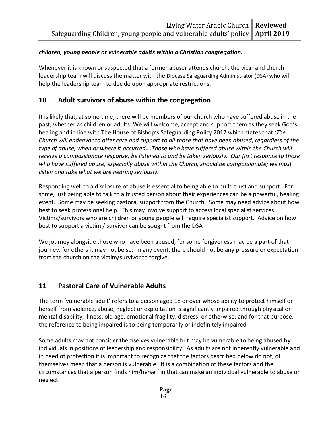#### *children, young people or vulnerable adults within a Christian congregation.*

Whenever it is known or suspected that a former abuser attends church, the vicar and church leadership team will discuss the matter with the Diocese Safeguarding Administrator (DSA) **who** will help the leadership team to decide upon appropriate restrictions.

## **10 Adult survivors of abuse within the congregation**

It is likely that, at some time, there will be members of our church who have suffered abuse in the past, whether as children or adults. We will welcome, accept and support them as they seek God's healing and in line with The House of Bishop's Safeguarding Policy 2017 which states that *'The Church will endeavor to offer care and support to all those that have been abused, regardless of the type of abuse, when or where it occurred….Those who have suffered abuse within the Church will receive a compassionate response, be listened to and be taken seriously. Our first response to those who have suffered abuse, especially abuse within the Church, should be compassionate; we must listen and take what we are hearing seriously.'*

Responding well to a disclosure of abuse is essential to being able to build trust and support. For some, just being able to talk to a trusted person about their experiences can be a powerful, healing event. Some may be seeking pastoral support from the Church. Some may need advice about how best to seek professional help. This may involve support to access local specialist services. Victims/survivors who are children or young people will require specialist support. Advice on how best to support a victim / survivor can be sought from the DSA

We journey alongside those who have been abused, for some forgiveness may be a part of that journey, for others it may not be so. In any event, there should not be any pressure or expectation from the church on the victim/survivor to forgive.

## **11 Pastoral Care of Vulnerable Adults**

The term 'vulnerable adult' refers to a person aged 18 or over whose ability to protect himself or herself from violence, abuse, neglect or exploitation is significantly impaired through physical or mental disability, illness, old age, emotional fragility, distress, or otherwise; and for that purpose, the reference to being impaired is to being temporarily or indefinitely impaired.

Some adults may not consider themselves vulnerable but may be vulnerable to being abused by individuals in positions of leadership and responsibility. As adults are not inherently vulnerable and in need of protection it is important to recognize that the factors described below do not, of themselves mean that a person is vulnerable. It is a combination of these factors and the circumstances that a person finds him/herself in that can make an individual vulnerable to abuse or neglect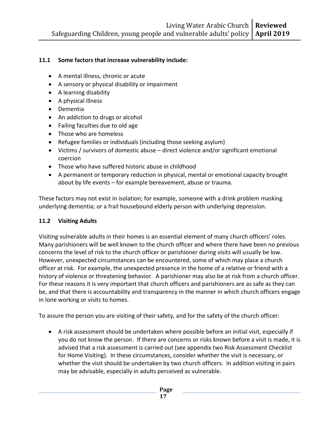#### **11.1 Some factors that increase vulnerability include:**

- A mental illness, chronic or acute
- A sensory or physical disability or impairment
- A learning disability
- A physical illness
- Dementia
- An addiction to drugs or alcohol
- Failing faculties due to old age
- Those who are homeless
- Refugee families or individuals (including those seeking asylum)
- Victims / survivors of domestic abuse direct violence and/or significant emotional coercion
- Those who have suffered historic abuse in childhood
- A permanent or temporary reduction in physical, mental or emotional capacity brought about by life events – for example bereavement, abuse or trauma.

These factors may not exist in isolation; for example, someone with a drink problem masking underlying dementia; or a frail housebound elderly person with underlying depression.

#### **11.2 Visiting Adults**

Visiting vulnerable adults in their homes is an essential element of many church officers' roles. Many parishioners will be well known to the church officer and where there have been no previous concerns the level of risk to the church officer or parishioner during visits will usually be low. However, unexpected circumstances can be encountered, some of which may place a church officer at risk. For example, the unexpected presence in the home of a relative or friend with a history of violence or threatening behavior. A parishioner may also be at risk from a church officer. For these reasons it is very important that church officers and parishioners are as safe as they can be, and that there is accountability and transparency in the manner in which church officers engage in lone working or visits to homes.

To assure the person you are visiting of their safety, and for the safety of the church officer:

• A risk assessment should be undertaken where possible before an initial visit, especially if you do not know the person. If there are concerns or risks known before a visit is made, it is advised that a risk assessment is carried out (see appendix two Risk Assessment Checklist for Home Visiting). In these circumstances, consider whether the visit is necessary, or whether the visit should be undertaken by two church officers. In addition visiting in pairs may be advisable, especially in adults perceived as vulnerable.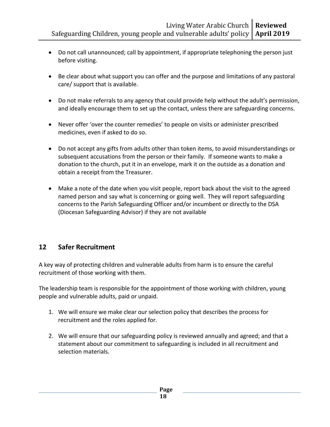- Do not call unannounced; call by appointment, if appropriate telephoning the person just before visiting.
- Be clear about what support you can offer and the purpose and limitations of any pastoral care/ support that is available.
- Do not make referrals to any agency that could provide help without the adult's permission, and ideally encourage them to set up the contact, unless there are safeguarding concerns.
- Never offer 'over the counter remedies' to people on visits or administer prescribed medicines, even if asked to do so.
- Do not accept any gifts from adults other than token items, to avoid misunderstandings or subsequent accusations from the person or their family. If someone wants to make a donation to the church, put it in an envelope, mark it on the outside as a donation and obtain a receipt from the Treasurer.
- Make a note of the date when you visit people, report back about the visit to the agreed named person and say what is concerning or going well. They will report safeguarding concerns to the Parish Safeguarding Officer and/or incumbent or directly to the DSA (Diocesan Safeguarding Advisor) if they are not available

## **12 Safer Recruitment**

A key way of protecting children and vulnerable adults from harm is to ensure the careful recruitment of those working with them.

The leadership team is responsible for the appointment of those working with children, young people and vulnerable adults, paid or unpaid.

- 1. We will ensure we make clear our selection policy that describes the process for recruitment and the roles applied for.
- 2. We will ensure that our safeguarding policy is reviewed annually and agreed; and that a statement about our commitment to safeguarding is included in all recruitment and selection materials.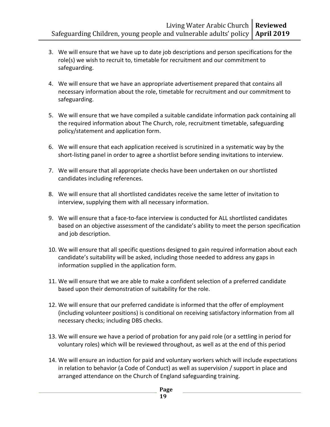- 3. We will ensure that we have up to date job descriptions and person specifications for the role(s) we wish to recruit to, timetable for recruitment and our commitment to safeguarding.
- 4. We will ensure that we have an appropriate advertisement prepared that contains all necessary information about the role, timetable for recruitment and our commitment to safeguarding.
- 5. We will ensure that we have compiled a suitable candidate information pack containing all the required information about The Church, role, recruitment timetable, safeguarding policy/statement and application form.
- 6. We will ensure that each application received is scrutinized in a systematic way by the short-listing panel in order to agree a shortlist before sending invitations to interview.
- 7. We will ensure that all appropriate checks have been undertaken on our shortlisted candidates including references.
- 8. We will ensure that all shortlisted candidates receive the same letter of invitation to interview, supplying them with all necessary information.
- 9. We will ensure that a face-to-face interview is conducted for ALL shortlisted candidates based on an objective assessment of the candidate's ability to meet the person specification and job description.
- 10. We will ensure that all specific questions designed to gain required information about each candidate's suitability will be asked, including those needed to address any gaps in information supplied in the application form.
- 11. We will ensure that we are able to make a confident selection of a preferred candidate based upon their demonstration of suitability for the role.
- 12. We will ensure that our preferred candidate is informed that the offer of employment (including volunteer positions) is conditional on receiving satisfactory information from all necessary checks; including DBS checks.
- 13. We will ensure we have a period of probation for any paid role (or a settling in period for voluntary roles) which will be reviewed throughout, as well as at the end of this period
- 14. We will ensure an induction for paid and voluntary workers which will include expectations in relation to behavior (a Code of Conduct) as well as supervision / support in place and arranged attendance on the Church of England safeguarding training.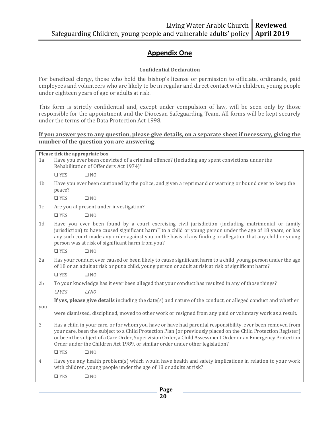## **Appendix One**

#### **Confidential Declaration**

For beneficed clergy, those who hold the bishop's license or permission to officiate, ordinands, paid employees and volunteers who are likely to be in regular and direct contact with children, young people under eighteen years of age or adults at risk.

This form is strictly confidential and, except under compulsion of law, will be seen only by those responsible for the appointment and the Diocesan Safeguarding Team. All forms will be kept securely under the terms of the Data Protection Act 1998.

#### **If you answer yes to any question, please give details, on a separate sheet if necessary, giving the number of the question you are answering**.

|                | Please tick the appropriate box                                                                                                                                                                                                                                                                                                                                                                                             |                                                                                                                                                                               |  |  |  |  |
|----------------|-----------------------------------------------------------------------------------------------------------------------------------------------------------------------------------------------------------------------------------------------------------------------------------------------------------------------------------------------------------------------------------------------------------------------------|-------------------------------------------------------------------------------------------------------------------------------------------------------------------------------|--|--|--|--|
| 1a             | Have you ever been convicted of a criminal offence? (Including any spent convictions under the<br>Rehabilitation of Offenders Act 1974)*                                                                                                                                                                                                                                                                                    |                                                                                                                                                                               |  |  |  |  |
|                | $\Box$ YES                                                                                                                                                                                                                                                                                                                                                                                                                  | $\square$ NO                                                                                                                                                                  |  |  |  |  |
| 1 <sub>b</sub> | peace?                                                                                                                                                                                                                                                                                                                                                                                                                      | Have you ever been cautioned by the police, and given a reprimand or warning or bound over to keep the                                                                        |  |  |  |  |
|                | $\Box$ YES                                                                                                                                                                                                                                                                                                                                                                                                                  | $\square$ NO                                                                                                                                                                  |  |  |  |  |
| 1c             |                                                                                                                                                                                                                                                                                                                                                                                                                             | Are you at present under investigation?                                                                                                                                       |  |  |  |  |
|                | $\square$ YES                                                                                                                                                                                                                                                                                                                                                                                                               | $\square$ NO                                                                                                                                                                  |  |  |  |  |
| 1 <sub>d</sub> | Have you ever been found by a court exercising civil jurisdiction (including matrimonial or family<br>jurisdiction) to have caused significant harm <sup>**</sup> to a child or young person under the age of 18 years, or has<br>any such court made any order against you on the basis of any finding or allegation that any child or young<br>person was at risk of significant harm from you?                           |                                                                                                                                                                               |  |  |  |  |
|                | $\Box$ YES                                                                                                                                                                                                                                                                                                                                                                                                                  | $\square$ NO                                                                                                                                                                  |  |  |  |  |
| 2a             | Has your conduct ever caused or been likely to cause significant harm to a child, young person under the age<br>of 18 or an adult at risk or put a child, young person or adult at risk at risk of significant harm?                                                                                                                                                                                                        |                                                                                                                                                                               |  |  |  |  |
|                | $\Box$ YES                                                                                                                                                                                                                                                                                                                                                                                                                  | $\square$ NO                                                                                                                                                                  |  |  |  |  |
| 2 <sub>b</sub> |                                                                                                                                                                                                                                                                                                                                                                                                                             | To your knowledge has it ever been alleged that your conduct has resulted in any of those things?                                                                             |  |  |  |  |
|                | $\Box$ YES                                                                                                                                                                                                                                                                                                                                                                                                                  | $\Box$ NO                                                                                                                                                                     |  |  |  |  |
|                |                                                                                                                                                                                                                                                                                                                                                                                                                             | If yes, please give details including the date(s) and nature of the conduct, or alleged conduct and whether                                                                   |  |  |  |  |
| you            |                                                                                                                                                                                                                                                                                                                                                                                                                             | were dismissed, disciplined, moved to other work or resigned from any paid or voluntary work as a result.                                                                     |  |  |  |  |
| 3              | Has a child in your care, or for whom you have or have had parental responsibility, ever been removed from<br>your care, been the subject to a Child Protection Plan (or previously placed on the Child Protection Register)<br>or been the subject of a Care Order, Supervision Order, a Child Assessment Order or an Emergency Protection<br>Order under the Children Act 1989, or similar order under other legislation? |                                                                                                                                                                               |  |  |  |  |
|                | $\Box$ YES                                                                                                                                                                                                                                                                                                                                                                                                                  | $\square$ NO                                                                                                                                                                  |  |  |  |  |
| 4              |                                                                                                                                                                                                                                                                                                                                                                                                                             | Have you any health problem(s) which would have health and safety implications in relation to your work<br>with children, young people under the age of 18 or adults at risk? |  |  |  |  |
|                | $\square$ YES                                                                                                                                                                                                                                                                                                                                                                                                               | $\square$ NO                                                                                                                                                                  |  |  |  |  |
|                | Page                                                                                                                                                                                                                                                                                                                                                                                                                        |                                                                                                                                                                               |  |  |  |  |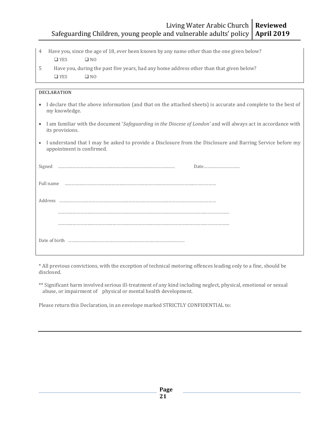#### Living Water Arabic Church Safeguarding Children, young people and vulnerable adults' policy **Reviewed April 2019**

- 4 Have you, since the age of 18, ever been known by any name other than the one given below?
	- ❑ YES ❑ NO
- 5 Have you, during the past five years, had any home address other than that given below? ❑ YES ❑ NO

| <b>DECLARATION</b>                                                                                                                                   |  |  |  |  |
|------------------------------------------------------------------------------------------------------------------------------------------------------|--|--|--|--|
| I declare that the above information (and that on the attached sheets) is accurate and complete to the best of<br>$\bullet$<br>my knowledge.         |  |  |  |  |
| I am familiar with the document 'Safeguarding in the Diocese of London' and will always act in accordance with<br>$\bullet$<br>its provisions.       |  |  |  |  |
| I understand that I may be asked to provide a Disclosure from the Disclosure and Barring Service before my<br>$\bullet$<br>appointment is confirmed. |  |  |  |  |
| Signed                                                                                                                                               |  |  |  |  |
| Full name                                                                                                                                            |  |  |  |  |
| Address                                                                                                                                              |  |  |  |  |
|                                                                                                                                                      |  |  |  |  |
|                                                                                                                                                      |  |  |  |  |
|                                                                                                                                                      |  |  |  |  |

\* All previous convictions, with the exception of technical motoring offences leading only to a fine, should be disclosed.

\*\* Significant harm involved serious ill-treatment of any kind including neglect, physical, emotional or sexual abuse, or impairment of physical or mental health development.

Please return this Declaration, in an envelope marked STRICTLY CONFIDENTIAL to: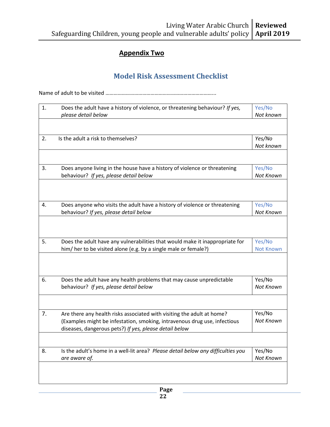## **Appendix Two**

## **Model Risk Assessment Checklist**

Name of adult to be visited ……………………………………………………………………...

| 1. | Does the adult have a history of violence, or threatening behaviour? If yes,<br>please detail below                                                                                                           | Yes/No<br>Not known        |
|----|---------------------------------------------------------------------------------------------------------------------------------------------------------------------------------------------------------------|----------------------------|
| 2. | Is the adult a risk to themselves?                                                                                                                                                                            | Yes/No                     |
|    |                                                                                                                                                                                                               | Not known                  |
| 3. | Does anyone living in the house have a history of violence or threatening<br>behaviour? If yes, please detail below                                                                                           | Yes/No<br>Not Known        |
| 4. | Does anyone who visits the adult have a history of violence or threatening<br>behaviour? If yes, please detail below                                                                                          | Yes/No<br>Not Known        |
| 5. | Does the adult have any vulnerabilities that would make it inappropriate for<br>him/ her to be visited alone (e.g. by a single male or female?)                                                               | Yes/No<br><b>Not Known</b> |
| 6. | Does the adult have any health problems that may cause unpredictable<br>behaviour? If yes, please detail below                                                                                                | Yes/No<br>Not Known        |
| 7. | Are there any health risks associated with visiting the adult at home?<br>(Examples might be infestation, smoking, intravenous drug use, infectious<br>diseases, dangerous pets?) If yes, please detail below | Yes/No<br>Not Known        |
| 8. | Is the adult's home in a well-lit area? Please detail below any difficulties you<br>are aware of.                                                                                                             | Yes/No<br>Not Known        |